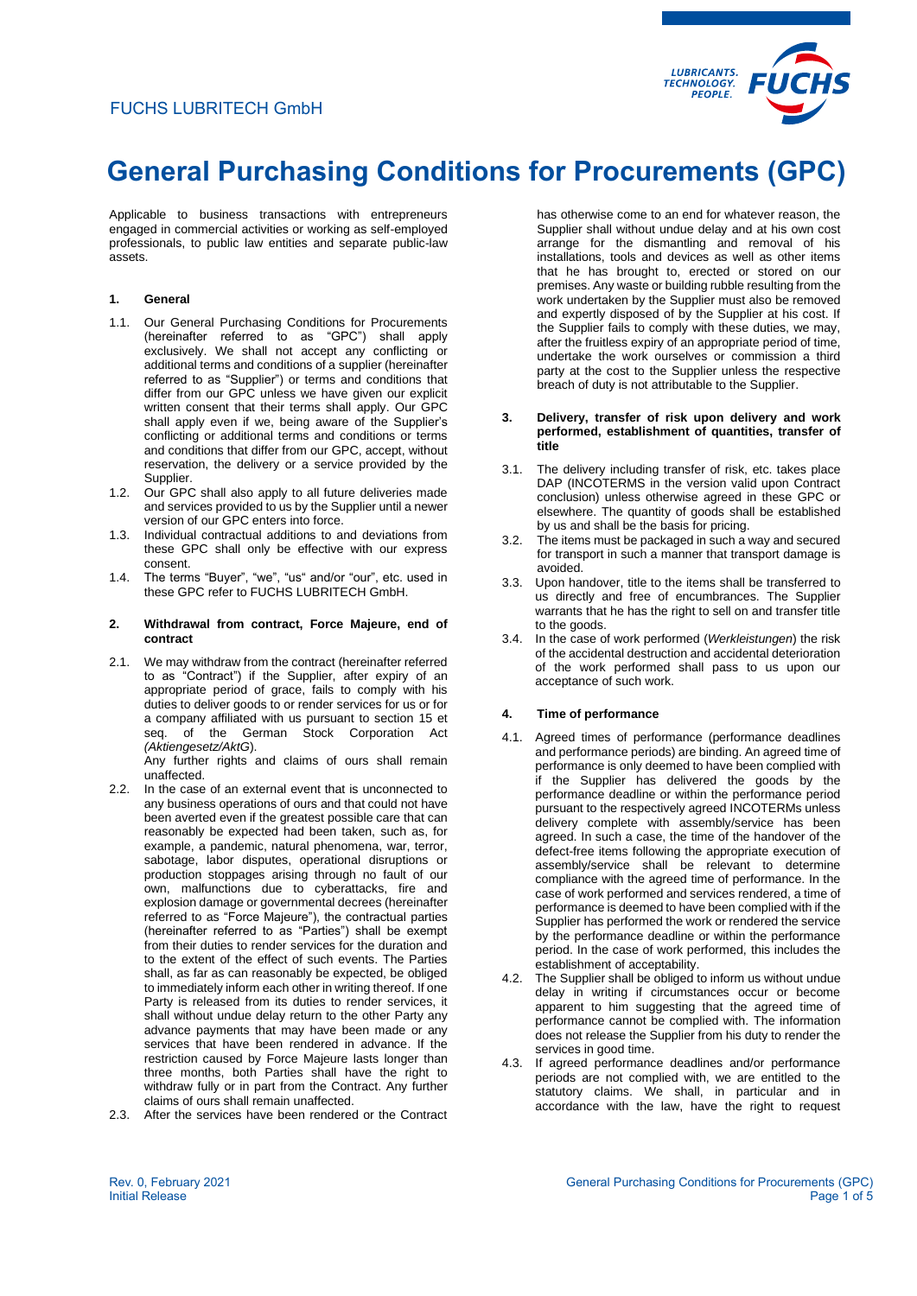

Applicable to business transactions with entrepreneurs engaged in commercial activities or working as self-employed professionals, to public law entities and separate public-law assets.

# **1. General**

- 1.1. Our General Purchasing Conditions for Procurements (hereinafter referred to as "GPC") shall apply exclusively. We shall not accept any conflicting or additional terms and conditions of a supplier (hereinafter referred to as "Supplier") or terms and conditions that differ from our GPC unless we have given our explicit written consent that their terms shall apply. Our GPC shall apply even if we, being aware of the Supplier's conflicting or additional terms and conditions or terms and conditions that differ from our GPC, accept, without reservation, the delivery or a service provided by the Supplier.
- 1.2. Our GPC shall also apply to all future deliveries made and services provided to us by the Supplier until a newer version of our GPC enters into force.
- 1.3. Individual contractual additions to and deviations from these GPC shall only be effective with our express consent.
- 1.4. The terms "Buyer", "we", "us" and/or "our", etc. used in these GPC refer to FUCHS LUBRITECH GmbH.

#### **2. Withdrawal from contract, Force Majeure, end of contract**

2.1. We may withdraw from the contract (hereinafter referred to as "Contract") if the Supplier, after expiry of an appropriate period of grace, fails to comply with his duties to deliver goods to or render services for us or for a company affiliated with us pursuant to section 15 et seq. of the German Stock Corporation Act *(Aktiengesetz/AktG*).

Any further rights and claims of ours shall remain unaffected.

- 2.2. In the case of an external event that is unconnected to any business operations of ours and that could not have been averted even if the greatest possible care that can reasonably be expected had been taken, such as, for example, a pandemic, natural phenomena, war, terror, sabotage, labor disputes, operational disruptions or production stoppages arising through no fault of our own, malfunctions due to cyberattacks, fire and explosion damage or governmental decrees (hereinafter referred to as "Force Majeure"), the contractual parties (hereinafter referred to as "Parties") shall be exempt from their duties to render services for the duration and to the extent of the effect of such events. The Parties shall, as far as can reasonably be expected, be obliged to immediately inform each other in writing thereof. If one Party is released from its duties to render services, it shall without undue delay return to the other Party any advance payments that may have been made or any services that have been rendered in advance. If the restriction caused by Force Majeure lasts longer than three months, both Parties shall have the right to withdraw fully or in part from the Contract. Any further claims of ours shall remain unaffected.
- 2.3. After the services have been rendered or the Contract

has otherwise come to an end for whatever reason, the Supplier shall without undue delay and at his own cost arrange for the dismantling and removal of his installations, tools and devices as well as other items that he has brought to, erected or stored on our premises. Any waste or building rubble resulting from the work undertaken by the Supplier must also be removed and expertly disposed of by the Supplier at his cost. If the Supplier fails to comply with these duties, we may, after the fruitless expiry of an appropriate period of time, undertake the work ourselves or commission a third party at the cost to the Supplier unless the respective breach of duty is not attributable to the Supplier.

#### **3. Delivery, transfer of risk upon delivery and work performed, establishment of quantities, transfer of title**

- 3.1. The delivery including transfer of risk, etc. takes place DAP (INCOTERMS in the version valid upon Contract conclusion) unless otherwise agreed in these GPC or elsewhere. The quantity of goods shall be established by us and shall be the basis for pricing.
- 3.2. The items must be packaged in such a way and secured for transport in such a manner that transport damage is avoided.
- 3.3. Upon handover, title to the items shall be transferred to us directly and free of encumbrances. The Supplier warrants that he has the right to sell on and transfer title to the goods.
- 3.4. In the case of work performed (*Werkleistungen*) the risk of the accidental destruction and accidental deterioration of the work performed shall pass to us upon our acceptance of such work.

# **4. Time of performance**

- 4.1. Agreed times of performance (performance deadlines and performance periods) are binding. An agreed time of performance is only deemed to have been complied with if the Supplier has delivered the goods by the performance deadline or within the performance period pursuant to the respectively agreed INCOTERMs unless delivery complete with assembly/service has been agreed. In such a case, the time of the handover of the defect-free items following the appropriate execution of assembly/service shall be relevant to determine compliance with the agreed time of performance. In the case of work performed and services rendered, a time of performance is deemed to have been complied with if the Supplier has performed the work or rendered the service by the performance deadline or within the performance period. In the case of work performed, this includes the establishment of acceptability.
- 4.2. The Supplier shall be obliged to inform us without undue delay in writing if circumstances occur or become apparent to him suggesting that the agreed time of performance cannot be complied with. The information does not release the Supplier from his duty to render the services in good time.
- 4.3. If agreed performance deadlines and/or performance periods are not complied with, we are entitled to the statutory claims. We shall, in particular and in accordance with the law, have the right to request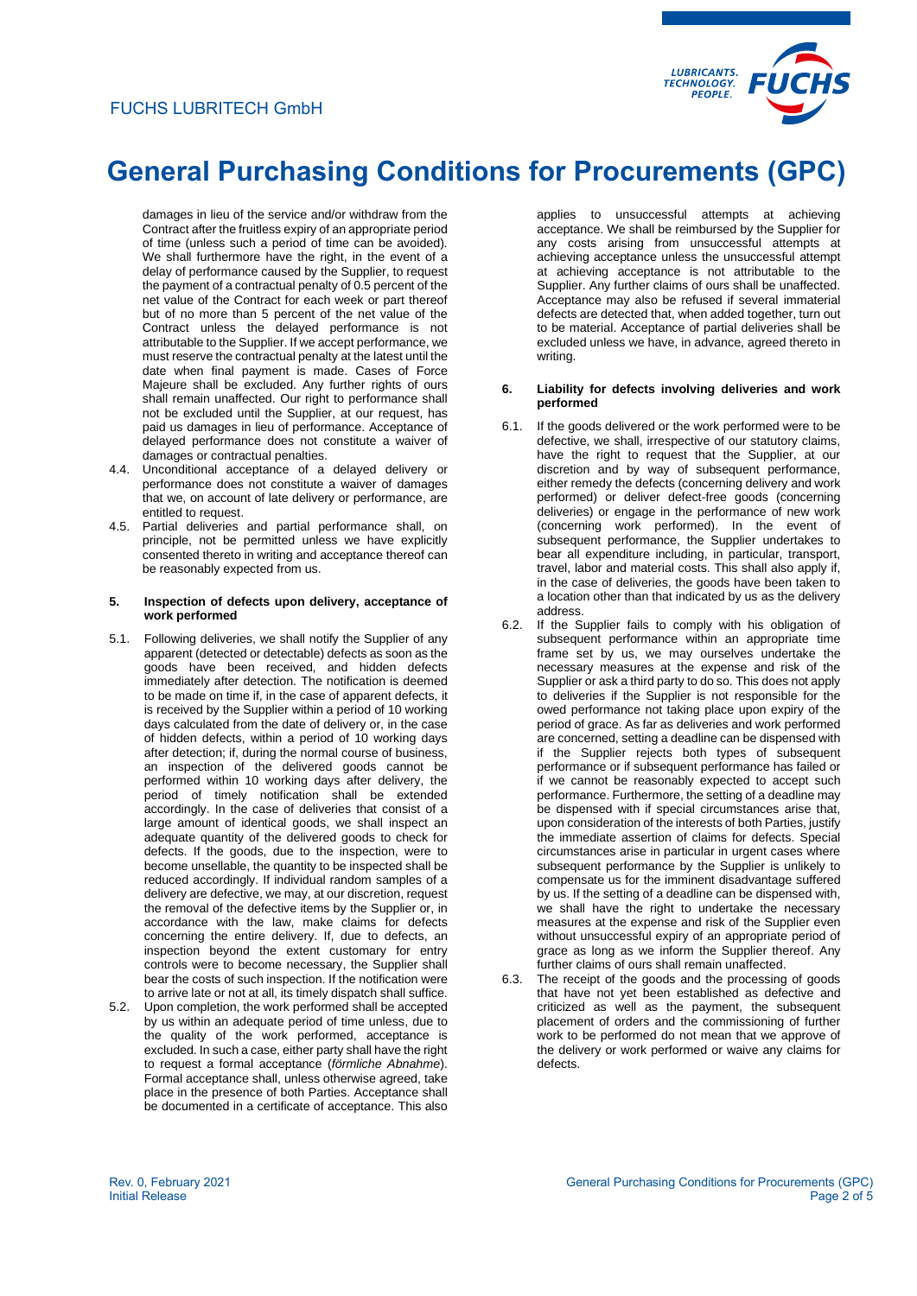

damages in lieu of the service and/or withdraw from the Contract after the fruitless expiry of an appropriate period of time (unless such a period of time can be avoided). We shall furthermore have the right, in the event of a delay of performance caused by the Supplier, to request the payment of a contractual penalty of 0.5 percent of the net value of the Contract for each week or part thereof but of no more than 5 percent of the net value of the Contract unless the delayed performance is not attributable to the Supplier. If we accept performance, we must reserve the contractual penalty at the latest until the date when final payment is made. Cases of Force Majeure shall be excluded. Any further rights of ours shall remain unaffected. Our right to performance shall not be excluded until the Supplier, at our request, has paid us damages in lieu of performance. Acceptance of delayed performance does not constitute a waiver of damages or contractual penalties.

- 4.4. Unconditional acceptance of a delayed delivery or performance does not constitute a waiver of damages that we, on account of late delivery or performance, are entitled to request.
- 4.5. Partial deliveries and partial performance shall, on principle, not be permitted unless we have explicitly consented thereto in writing and acceptance thereof can be reasonably expected from us.

#### **5. Inspection of defects upon delivery, acceptance of work performed**

- 5.1. Following deliveries, we shall notify the Supplier of any apparent (detected or detectable) defects as soon as the goods have been received, and hidden defects immediately after detection. The notification is deemed to be made on time if, in the case of apparent defects, it is received by the Supplier within a period of 10 working days calculated from the date of delivery or, in the case of hidden defects, within a period of 10 working days after detection; if, during the normal course of business, an inspection of the delivered goods cannot be performed within 10 working days after delivery, the period of timely notification shall be extended accordingly. In the case of deliveries that consist of a large amount of identical goods, we shall inspect an adequate quantity of the delivered goods to check for defects. If the goods, due to the inspection, were to become unsellable, the quantity to be inspected shall be reduced accordingly. If individual random samples of a delivery are defective, we may, at our discretion, request the removal of the defective items by the Supplier or, in accordance with the law, make claims for defects concerning the entire delivery. If, due to defects, an inspection beyond the extent customary for entry controls were to become necessary, the Supplier shall bear the costs of such inspection. If the notification were to arrive late or not at all, its timely dispatch shall suffice.
- 5.2. Upon completion, the work performed shall be accepted by us within an adequate period of time unless, due to the quality of the work performed, acceptance is excluded. In such a case, either party shall have the right to request a formal acceptance (*förmliche Abnahme*). Formal acceptance shall, unless otherwise agreed, take place in the presence of both Parties. Acceptance shall be documented in a certificate of acceptance. This also

applies to unsuccessful attempts at achieving acceptance. We shall be reimbursed by the Supplier for any costs arising from unsuccessful attempts at achieving acceptance unless the unsuccessful attempt at achieving acceptance is not attributable to the Supplier. Any further claims of ours shall be unaffected. Acceptance may also be refused if several immaterial defects are detected that, when added together, turn out to be material. Acceptance of partial deliveries shall be excluded unless we have, in advance, agreed thereto in writing.

#### **6. Liability for defects involving deliveries and work performed**

- 6.1. If the goods delivered or the work performed were to be defective, we shall, irrespective of our statutory claims, have the right to request that the Supplier, at our discretion and by way of subsequent performance, either remedy the defects (concerning delivery and work performed) or deliver defect-free goods (concerning deliveries) or engage in the performance of new work (concerning work performed). In the event of subsequent performance, the Supplier undertakes to bear all expenditure including, in particular, transport, travel, labor and material costs. This shall also apply if, in the case of deliveries, the goods have been taken to a location other than that indicated by us as the delivery address.
- 6.2. If the Supplier fails to comply with his obligation of subsequent performance within an appropriate time frame set by us, we may ourselves undertake the necessary measures at the expense and risk of the Supplier or ask a third party to do so. This does not apply to deliveries if the Supplier is not responsible for the owed performance not taking place upon expiry of the period of grace. As far as deliveries and work performed are concerned, setting a deadline can be dispensed with if the Supplier rejects both types of subsequent performance or if subsequent performance has failed or if we cannot be reasonably expected to accept such performance. Furthermore, the setting of a deadline may be dispensed with if special circumstances arise that, upon consideration of the interests of both Parties, justify the immediate assertion of claims for defects. Special circumstances arise in particular in urgent cases where subsequent performance by the Supplier is unlikely to compensate us for the imminent disadvantage suffered by us. If the setting of a deadline can be dispensed with, we shall have the right to undertake the necessary measures at the expense and risk of the Supplier even without unsuccessful expiry of an appropriate period of grace as long as we inform the Supplier thereof. Any further claims of ours shall remain unaffected.
- 6.3. The receipt of the goods and the processing of goods that have not yet been established as defective and criticized as well as the payment, the subsequent placement of orders and the commissioning of further work to be performed do not mean that we approve of the delivery or work performed or waive any claims for defects.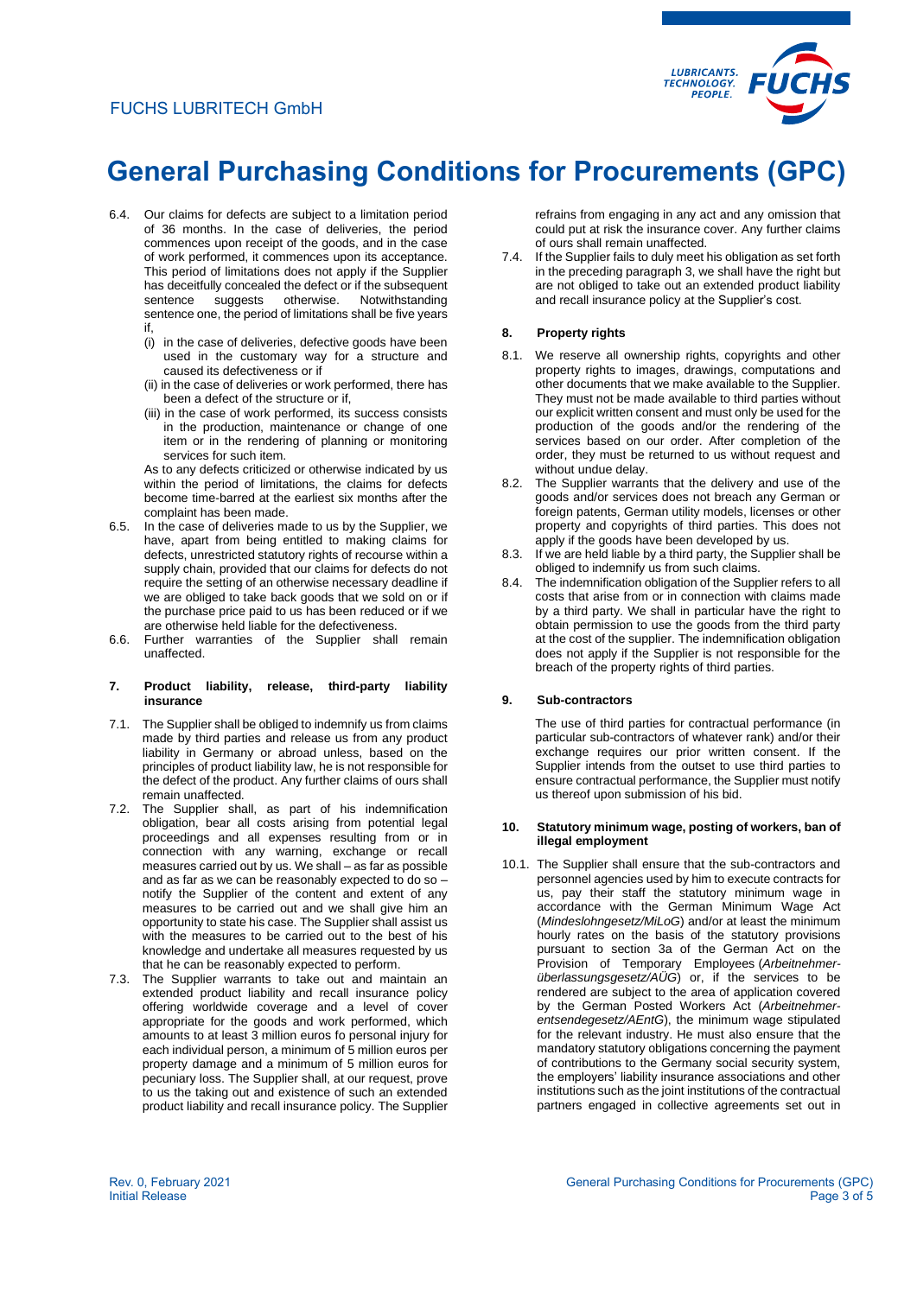# FUCHS LUBRITECH GmbH



# **General Purchasing Conditions for Procurements (GPC)**

- 6.4. Our claims for defects are subject to a limitation period of 36 months. In the case of deliveries, the period commences upon receipt of the goods, and in the case of work performed, it commences upon its acceptance. This period of limitations does not apply if the Supplier has deceitfully concealed the defect or if the subsequent sentence suggests otherwise. Notwithstanding sentence one, the period of limitations shall be five years if,
	- (i) in the case of deliveries, defective goods have been used in the customary way for a structure and caused its defectiveness or if
	- (ii) in the case of deliveries or work performed, there has been a defect of the structure or if,
	- (iii) in the case of work performed, its success consists in the production, maintenance or change of one item or in the rendering of planning or monitoring services for such item.

As to any defects criticized or otherwise indicated by us within the period of limitations, the claims for defects become time-barred at the earliest six months after the complaint has been made.

- 6.5. In the case of deliveries made to us by the Supplier, we have, apart from being entitled to making claims for defects, unrestricted statutory rights of recourse within a supply chain, provided that our claims for defects do not require the setting of an otherwise necessary deadline if we are obliged to take back goods that we sold on or if the purchase price paid to us has been reduced or if we are otherwise held liable for the defectiveness.
- 6.6. Further warranties of the Supplier shall remain unaffected.

#### **7. Product liability, release, third-party liability insurance**

- 7.1. The Supplier shall be obliged to indemnify us from claims made by third parties and release us from any product liability in Germany or abroad unless, based on the principles of product liability law, he is not responsible for the defect of the product. Any further claims of ours shall remain unaffected.
- 7.2. The Supplier shall, as part of his indemnification obligation, bear all costs arising from potential legal proceedings and all expenses resulting from or in connection with any warning, exchange or recall measures carried out by us. We shall – as far as possible and as far as we can be reasonably expected to do so – notify the Supplier of the content and extent of any measures to be carried out and we shall give him an opportunity to state his case. The Supplier shall assist us with the measures to be carried out to the best of his knowledge and undertake all measures requested by us that he can be reasonably expected to perform.
- 7.3. The Supplier warrants to take out and maintain an extended product liability and recall insurance policy offering worldwide coverage and a level of cover appropriate for the goods and work performed, which amounts to at least 3 million euros fo personal injury for each individual person, a minimum of 5 million euros per property damage and a minimum of 5 million euros for pecuniary loss. The Supplier shall, at our request, prove to us the taking out and existence of such an extended product liability and recall insurance policy. The Supplier

refrains from engaging in any act and any omission that could put at risk the insurance cover. Any further claims of ours shall remain unaffected.

7.4. If the Supplier fails to duly meet his obligation as set forth in the preceding paragraph 3, we shall have the right but are not obliged to take out an extended product liability and recall insurance policy at the Supplier's cost.

# **8. Property rights**

- 8.1. We reserve all ownership rights, copyrights and other property rights to images, drawings, computations and other documents that we make available to the Supplier. They must not be made available to third parties without our explicit written consent and must only be used for the production of the goods and/or the rendering of the services based on our order. After completion of the order, they must be returned to us without request and without undue delay.
- 8.2. The Supplier warrants that the delivery and use of the goods and/or services does not breach any German or foreign patents, German utility models, licenses or other property and copyrights of third parties. This does not apply if the goods have been developed by us.
- 8.3. If we are held liable by a third party, the Supplier shall be obliged to indemnify us from such claims.
- 8.4. The indemnification obligation of the Supplier refers to all costs that arise from or in connection with claims made by a third party. We shall in particular have the right to obtain permission to use the goods from the third party at the cost of the supplier. The indemnification obligation does not apply if the Supplier is not responsible for the breach of the property rights of third parties.

# **9. Sub-contractors**

The use of third parties for contractual performance (in particular sub-contractors of whatever rank) and/or their exchange requires our prior written consent. If the Supplier intends from the outset to use third parties to ensure contractual performance, the Supplier must notify us thereof upon submission of his bid.

#### **10. Statutory minimum wage, posting of workers, ban of illegal employment**

10.1. The Supplier shall ensure that the sub-contractors and personnel agencies used by him to execute contracts for us, pay their staff the statutory minimum wage in accordance with the German Minimum Wage Act (*Mindeslohngesetz/MiLoG*) and/or at least the minimum hourly rates on the basis of the statutory provisions pursuant to section 3a of the German Act on the Provision of Temporary Employees (*Arbeitnehmerüberlassungsgesetz/AÜG*) or, if the services to be rendered are subject to the area of application covered by the German Posted Workers Act (*Arbeitnehmerentsendegesetz/AEntG*), the minimum wage stipulated for the relevant industry. He must also ensure that the mandatory statutory obligations concerning the payment of contributions to the Germany social security system, the employers' liability insurance associations and other institutions such as the joint institutions of the contractual partners engaged in collective agreements set out in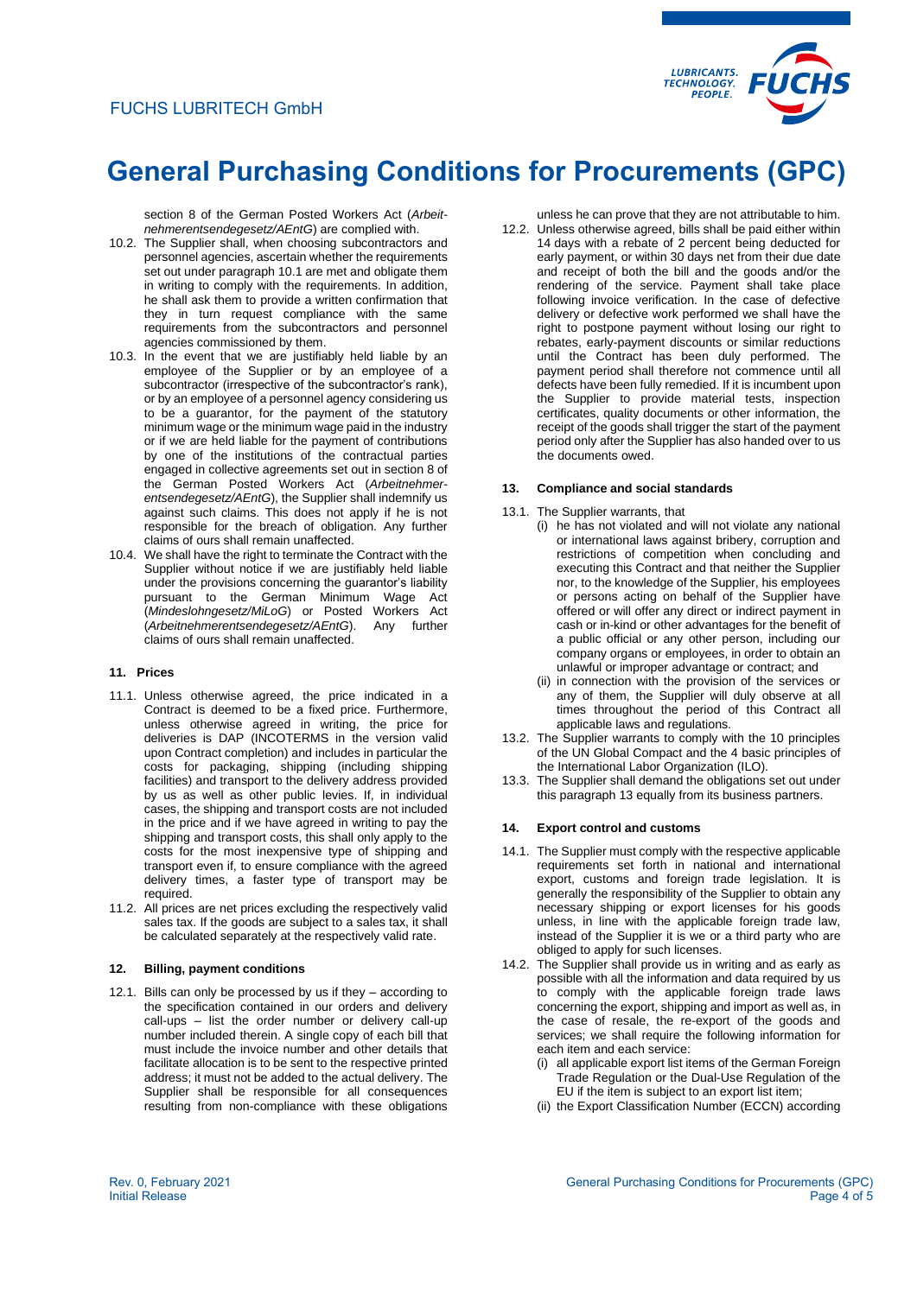

section 8 of the German Posted Workers Act (*Arbeitnehmerentsendegesetz/AEntG*) are complied with.

- 10.2. The Supplier shall, when choosing subcontractors and personnel agencies, ascertain whether the requirements set out under paragraph 10.1 are met and obligate them in writing to comply with the requirements. In addition, he shall ask them to provide a written confirmation that they in turn request compliance with the same requirements from the subcontractors and personnel agencies commissioned by them.
- 10.3. In the event that we are justifiably held liable by an employee of the Supplier or by an employee of a subcontractor (irrespective of the subcontractor's rank), or by an employee of a personnel agency considering us to be a guarantor, for the payment of the statutory minimum wage or the minimum wage paid in the industry or if we are held liable for the payment of contributions by one of the institutions of the contractual parties engaged in collective agreements set out in section 8 of the German Posted Workers Act (*Arbeitnehmerentsendegesetz/AEntG*), the Supplier shall indemnify us against such claims. This does not apply if he is not responsible for the breach of obligation. Any further claims of ours shall remain unaffected.
- 10.4. We shall have the right to terminate the Contract with the Supplier without notice if we are justifiably held liable under the provisions concerning the guarantor's liability pursuant to the German Minimum Wage Act (*Mindeslohngesetz/MiLoG*) or Posted Workers Act (*Arbeitnehmerentsendegesetz/AEntG*). Any further claims of ours shall remain unaffected.

# **11. Prices**

- 11.1. Unless otherwise agreed, the price indicated in a Contract is deemed to be a fixed price. Furthermore, unless otherwise agreed in writing, the price for deliveries is DAP (INCOTERMS in the version valid upon Contract completion) and includes in particular the costs for packaging, shipping (including shipping facilities) and transport to the delivery address provided by us as well as other public levies. If, in individual cases, the shipping and transport costs are not included in the price and if we have agreed in writing to pay the shipping and transport costs, this shall only apply to the costs for the most inexpensive type of shipping and transport even if, to ensure compliance with the agreed delivery times, a faster type of transport may be required.
- 11.2. All prices are net prices excluding the respectively valid sales tax. If the goods are subject to a sales tax, it shall be calculated separately at the respectively valid rate.

# **12. Billing, payment conditions**

12.1. Bills can only be processed by us if they – according to the specification contained in our orders and delivery call-ups – list the order number or delivery call-up number included therein. A single copy of each bill that must include the invoice number and other details that facilitate allocation is to be sent to the respective printed address; it must not be added to the actual delivery. The Supplier shall be responsible for all consequences resulting from non-compliance with these obligations

unless he can prove that they are not attributable to him.

12.2. Unless otherwise agreed, bills shall be paid either within 14 days with a rebate of 2 percent being deducted for early payment, or within 30 days net from their due date and receipt of both the bill and the goods and/or the rendering of the service. Payment shall take place following invoice verification. In the case of defective delivery or defective work performed we shall have the right to postpone payment without losing our right to rebates, early-payment discounts or similar reductions until the Contract has been duly performed. The payment period shall therefore not commence until all defects have been fully remedied. If it is incumbent upon the Supplier to provide material tests, inspection certificates, quality documents or other information, the receipt of the goods shall trigger the start of the payment period only after the Supplier has also handed over to us the documents owed.

#### **13. Compliance and social standards**

- 13.1. The Supplier warrants, that
	- (i) he has not violated and will not violate any national or international laws against bribery, corruption and restrictions of competition when concluding and executing this Contract and that neither the Supplier nor, to the knowledge of the Supplier, his employees or persons acting on behalf of the Supplier have offered or will offer any direct or indirect payment in cash or in-kind or other advantages for the benefit of a public official or any other person, including our company organs or employees, in order to obtain an unlawful or improper advantage or contract; and
	- (ii) in connection with the provision of the services or any of them, the Supplier will duly observe at all times throughout the period of this Contract all applicable laws and regulations.
- 13.2. The Supplier warrants to comply with the 10 principles of the UN Global Compact and the 4 basic principles of the International Labor Organization (ILO).
- 13.3. The Supplier shall demand the obligations set out under this paragraph 13 equally from its business partners.

# **14. Export control and customs**

- 14.1. The Supplier must comply with the respective applicable requirements set forth in national and international export, customs and foreign trade legislation. It is generally the responsibility of the Supplier to obtain any necessary shipping or export licenses for his goods unless, in line with the applicable foreign trade law, instead of the Supplier it is we or a third party who are obliged to apply for such licenses.
- 14.2. The Supplier shall provide us in writing and as early as possible with all the information and data required by us to comply with the applicable foreign trade laws concerning the export, shipping and import as well as, in the case of resale, the re-export of the goods and services; we shall require the following information for each item and each service:
	- (i) all applicable export list items of the German Foreign Trade Regulation or the Dual-Use Regulation of the EU if the item is subject to an export list item;
	- (ii) the Export Classification Number (ECCN) according